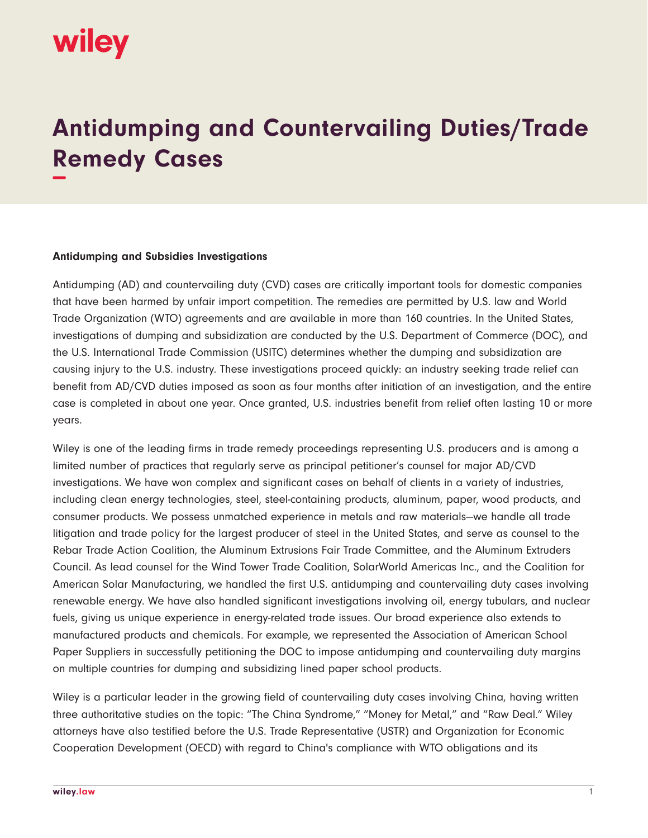

## **Antidumping and Countervailing Duties/Trade Remedy Cases −**

## **Antidumping and Subsidies Investigations**

Antidumping (AD) and countervailing duty (CVD) cases are critically important tools for domestic companies that have been harmed by unfair import competition. The remedies are permitted by U.S. law and World Trade Organization (WTO) agreements and are available in more than 160 countries. In the United States, investigations of dumping and subsidization are conducted by the U.S. Department of Commerce (DOC), and the U.S. International Trade Commission (USITC) determines whether the dumping and subsidization are causing injury to the U.S. industry. These investigations proceed quickly: an industry seeking trade relief can benefit from AD/CVD duties imposed as soon as four months after initiation of an investigation, and the entire case is completed in about one year. Once granted, U.S. industries benefit from relief often lasting 10 or more years.

Wiley is one of the leading firms in trade remedy proceedings representing U.S. producers and is among a limited number of practices that regularly serve as principal petitioner's counsel for major AD/CVD investigations. We have won complex and significant cases on behalf of clients in a variety of industries, including clean energy technologies, steel, steel-containing products, aluminum, paper, wood products, and consumer products. We possess unmatched experience in metals and raw materials—we handle all trade litigation and trade policy for the largest producer of steel in the United States, and serve as counsel to the Rebar Trade Action Coalition, the Aluminum Extrusions Fair Trade Committee, and the Aluminum Extruders Council. As lead counsel for the Wind Tower Trade Coalition, SolarWorld Americas Inc., and the Coalition for American Solar Manufacturing, we handled the first U.S. antidumping and countervailing duty cases involving renewable energy. We have also handled significant investigations involving oil, energy tubulars, and nuclear fuels, giving us unique experience in energy-related trade issues. Our broad experience also extends to manufactured products and chemicals. For example, we represented the Association of American School Paper Suppliers in successfully petitioning the DOC to impose antidumping and countervailing duty margins on multiple countries for dumping and subsidizing lined paper school products.

Wiley is a particular leader in the growing field of countervailing duty cases involving China, having written three authoritative studies on the topic: "The China Syndrome," "Money for Metal," and "Raw Deal." Wiley attorneys have also testified before the U.S. Trade Representative (USTR) and Organization for Economic Cooperation Development (OECD) with regard to China's compliance with WTO obligations and its